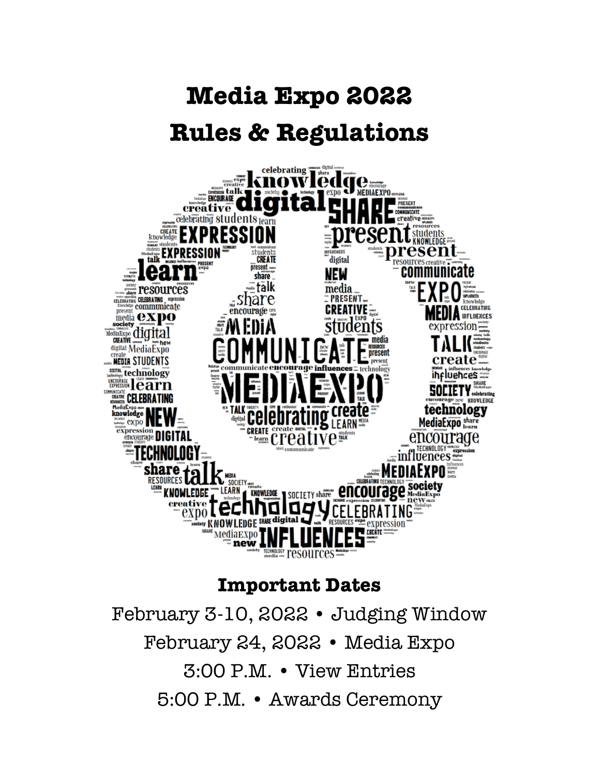# **Media Expo 2022 Rules & Regulations**



# **Important Dates**

February 3-10, 2022 • Judging Window February 24, 2022 • Media Expo 3:00 P.M. • View Entries 5:00 P.M. • Awards Ceremony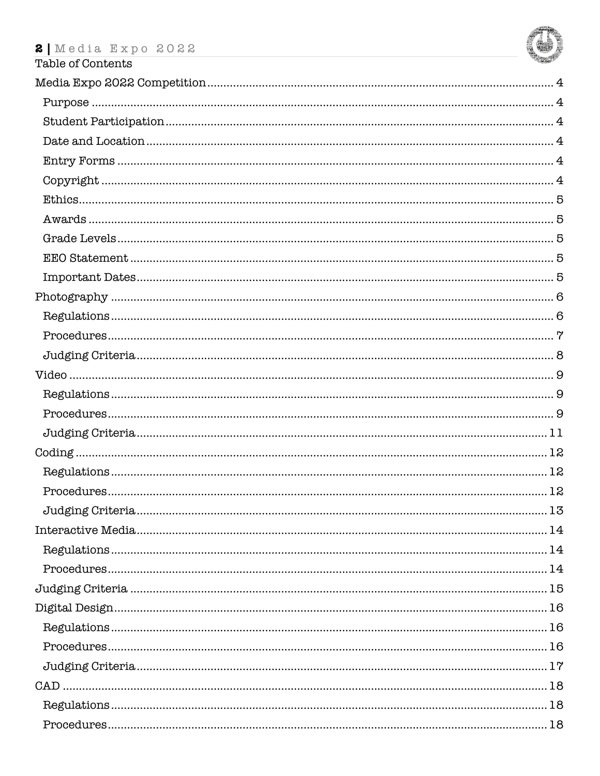

| Table of Contents |    |
|-------------------|----|
|                   |    |
|                   |    |
|                   |    |
|                   |    |
|                   |    |
|                   |    |
|                   |    |
|                   |    |
|                   |    |
|                   |    |
|                   |    |
|                   |    |
|                   |    |
|                   |    |
|                   |    |
|                   |    |
|                   |    |
|                   |    |
|                   |    |
|                   |    |
|                   |    |
|                   | 12 |
|                   |    |
|                   |    |
|                   |    |
|                   |    |
|                   |    |
|                   |    |
|                   |    |
|                   |    |
|                   |    |
|                   |    |
|                   |    |
|                   |    |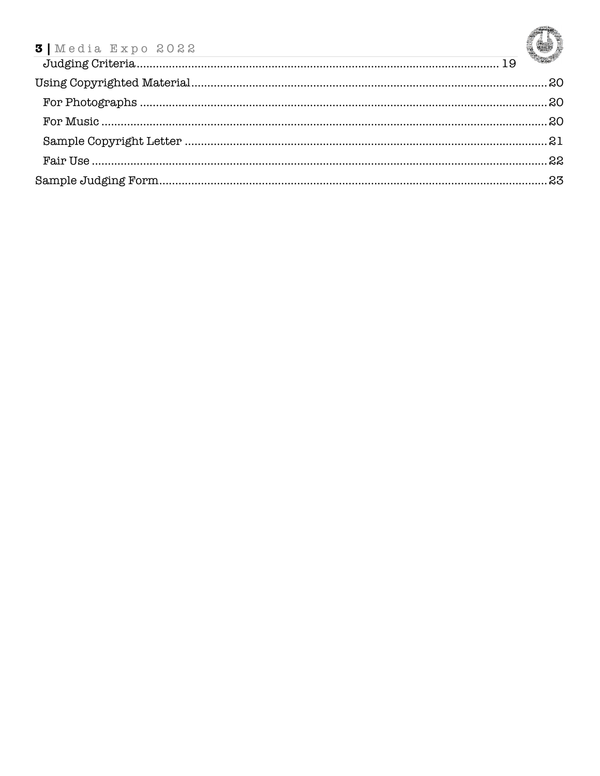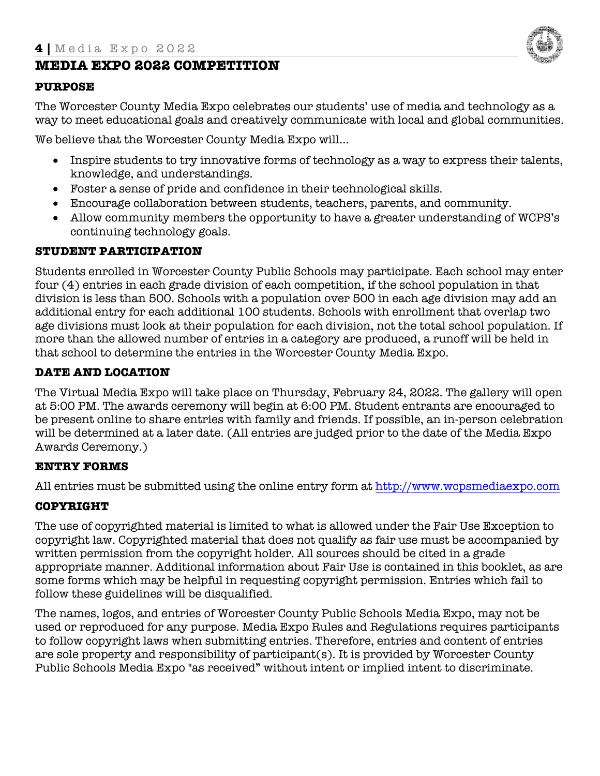

# **MEDIA EXPO 2022 COMPETITION**

#### **PURPOSE**

The Worcester County Media Expo celebrates our students' use of media and technology as a way to meet educational goals and creatively communicate with local and global communities.

We believe that the Worcester County Media Expo will...

- Inspire students to try innovative forms of technology as a way to express their talents, knowledge, and understandings.
- Foster a sense of pride and confidence in their technological skills.
- Encourage collaboration between students, teachers, parents, and community.
- Allow community members the opportunity to have a greater understanding of WCPS's continuing technology goals.

#### **STUDENT PARTICIPATION**

Students enrolled in Worcester County Public Schools may participate. Each school may enter four (4) entries in each grade division of each competition, if the school population in that division is less than 500. Schools with a population over 500 in each age division may add an additional entry for each additional 100 students. Schools with enrollment that overlap two age divisions must look at their population for each division, not the total school population. If more than the allowed number of entries in a category are produced, a runoff will be held in that school to determine the entries in the Worcester County Media Expo.

#### **DATE AND LOCATION**

The Virtual Media Expo will take place on Thursday, February 24, 2022. The gallery will open at 5:00 PM. The awards ceremony will begin at 6:00 PM. Student entrants are encouraged to be present online to share entries with family and friends. If possible, an in-person celebration will be determined at a later date. (All entries are judged prior to the date of the Media Expo Awards Ceremony.)

#### **ENTRY FORMS**

All entries must be submitted using the online entry form at http://www.wcpsmediaexpo.com

## **COPYRIGHT**

The use of copyrighted material is limited to what is allowed under the Fair Use Exception to copyright law. Copyrighted material that does not qualify as fair use must be accompanied by written permission from the copyright holder. All sources should be cited in a grade appropriate manner. Additional information about Fair Use is contained in this booklet, as are some forms which may be helpful in requesting copyright permission. Entries which fail to follow these guidelines will be disqualified.

The names, logos, and entries of Worcester County Public Schools Media Expo, may not be used or reproduced for any purpose. Media Expo Rules and Regulations requires participants to follow copyright laws when submitting entries. Therefore, entries and content of entries are sole property and responsibility of participant(s). It is provided by Worcester County Public Schools Media Expo "as received" without intent or implied intent to discriminate.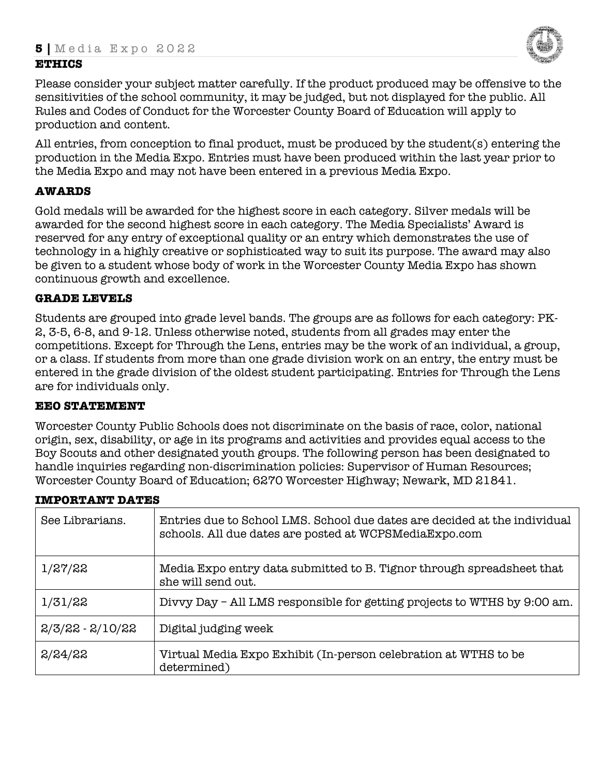# **ETHICS**



Please consider your subject matter carefully. If the product produced may be offensive to the sensitivities of the school community, it may be judged, but not displayed for the public. All Rules and Codes of Conduct for the Worcester County Board of Education will apply to production and content.

All entries, from conception to final product, must be produced by the student(s) entering the production in the Media Expo. Entries must have been produced within the last year prior to the Media Expo and may not have been entered in a previous Media Expo.

# **AWARDS**

Gold medals will be awarded for the highest score in each category. Silver medals will be awarded for the second highest score in each category. The Media Specialists' Award is reserved for any entry of exceptional quality or an entry which demonstrates the use of technology in a highly creative or sophisticated way to suit its purpose. The award may also be given to a student whose body of work in the Worcester County Media Expo has shown continuous growth and excellence.

# **GRADE LEVELS**

Students are grouped into grade level bands. The groups are as follows for each category: PK-2, 3-5, 6-8, and 9-12. Unless otherwise noted, students from all grades may enter the competitions. Except for Through the Lens, entries may be the work of an individual, a group, or a class. If students from more than one grade division work on an entry, the entry must be entered in the grade division of the oldest student participating. Entries for Through the Lens are for individuals only.

# **EEO STATEMENT**

Worcester County Public Schools does not discriminate on the basis of race, color, national origin, sex, disability, or age in its programs and activities and provides equal access to the Boy Scouts and other designated youth groups. The following person has been designated to handle inquiries regarding non-discrimination policies: Supervisor of Human Resources; Worcester County Board of Education; 6270 Worcester Highway; Newark, MD 21841.

| See Librarians.    | Entries due to School LMS. School due dates are decided at the individual<br>schools. All due dates are posted at WCPSMediaExpo.com |
|--------------------|-------------------------------------------------------------------------------------------------------------------------------------|
| 1/27/22            | Media Expo entry data submitted to B. Tignor through spreadsheet that<br>she will send out.                                         |
| 1/31/22            | Divvy Day - All LMS responsible for getting projects to WTHS by 9:00 am.                                                            |
| $2/3/22 - 2/10/22$ | Digital judging week                                                                                                                |
| 2/24/22            | Virtual Media Expo Exhibit (In-person celebration at WTHS to be<br>determined)                                                      |

#### **IMPORTANT DATES**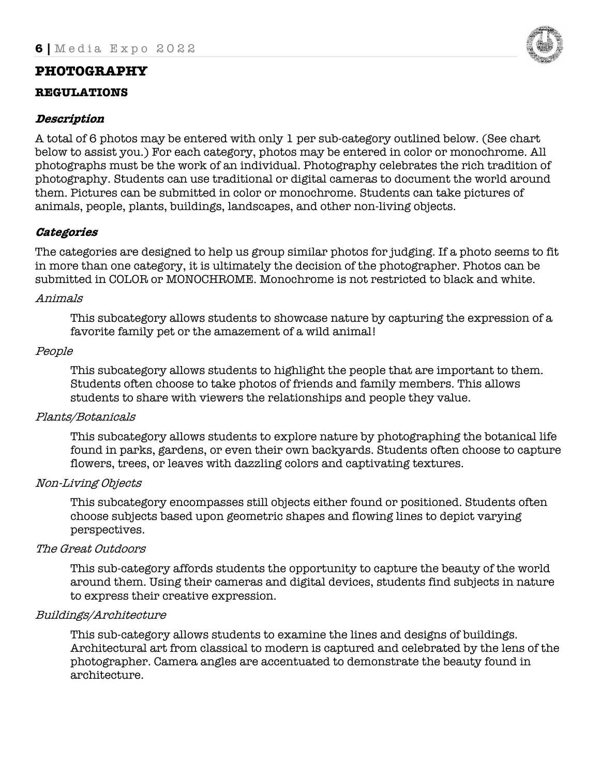# **PHOTOGRAPHY**

#### **REGULATIONS**

# **Description**

A total of 6 photos may be entered with only 1 per sub-category outlined below. (See chart below to assist you.) For each category, photos may be entered in color or monochrome. All photographs must be the work of an individual. Photography celebrates the rich tradition of photography. Students can use traditional or digital cameras to document the world around them. Pictures can be submitted in color or monochrome. Students can take pictures of animals, people, plants, buildings, landscapes, and other non-living objects.

# **Categories**

The categories are designed to help us group similar photos for judging. If a photo seems to fit in more than one category, it is ultimately the decision of the photographer. Photos can be submitted in COLOR or MONOCHROME. Monochrome is not restricted to black and white.

#### Animals

This subcategory allows students to showcase nature by capturing the expression of a favorite family pet or the amazement of a wild animal!

#### People

This subcategory allows students to highlight the people that are important to them. Students often choose to take photos of friends and family members. This allows students to share with viewers the relationships and people they value.

#### Plants/Botanicals

This subcategory allows students to explore nature by photographing the botanical life found in parks, gardens, or even their own backyards. Students often choose to capture flowers, trees, or leaves with dazzling colors and captivating textures.

#### Non-Living Objects

This subcategory encompasses still objects either found or positioned. Students often choose subjects based upon geometric shapes and flowing lines to depict varying perspectives.

#### The Great Outdoors

This sub-category affords students the opportunity to capture the beauty of the world around them. Using their cameras and digital devices, students find subjects in nature to express their creative expression.

#### Buildings/Architecture

This sub-category allows students to examine the lines and designs of buildings. Architectural art from classical to modern is captured and celebrated by the lens of the photographer. Camera angles are accentuated to demonstrate the beauty found in architecture.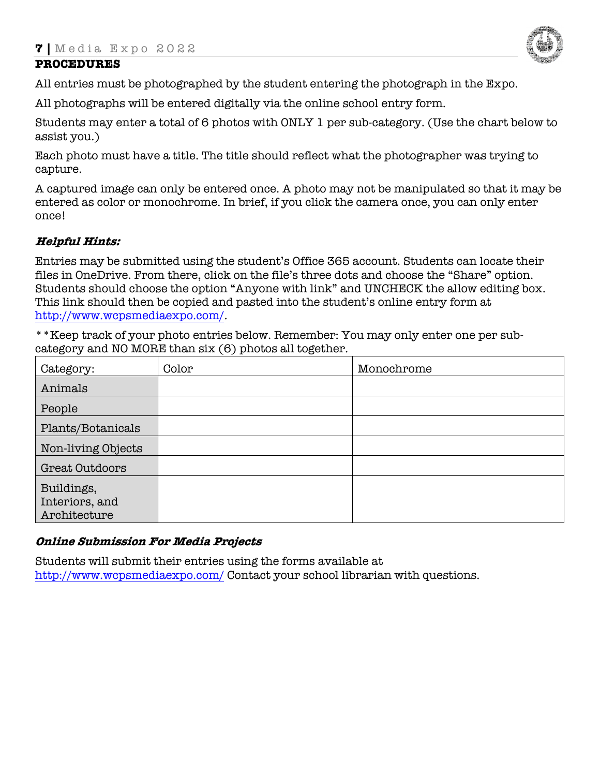

# **PROCEDURES**

All entries must be photographed by the student entering the photograph in the Expo.

All photographs will be entered digitally via the online school entry form.

Students may enter a total of 6 photos with ONLY 1 per sub-category. (Use the chart below to assist you.)

Each photo must have a title. The title should reflect what the photographer was trying to capture.

A captured image can only be entered once. A photo may not be manipulated so that it may be entered as color or monochrome. In brief, if you click the camera once, you can only enter once!

#### **Helpful Hints:**

Entries may be submitted using the student's Office 365 account. Students can locate their files in OneDrive. From there, click on the file's three dots and choose the "Share" option. Students should choose the option "Anyone with link" and UNCHECK the allow editing box. This link should then be copied and pasted into the student's online entry form at http://www.wcpsmediaexpo.com/.

\*\*Keep track of your photo entries below. Remember: You may only enter one per subcategory and NO MORE than six (6) photos all together.

| Category:          | Color | Monochrome |
|--------------------|-------|------------|
| Animals            |       |            |
| People             |       |            |
| Plants/Botanicals  |       |            |
| Non-living Objects |       |            |
| Great Outdoors     |       |            |
| Buildings,         |       |            |
| Interiors, and     |       |            |
| Architecture       |       |            |

#### **Online Submission For Media Projects**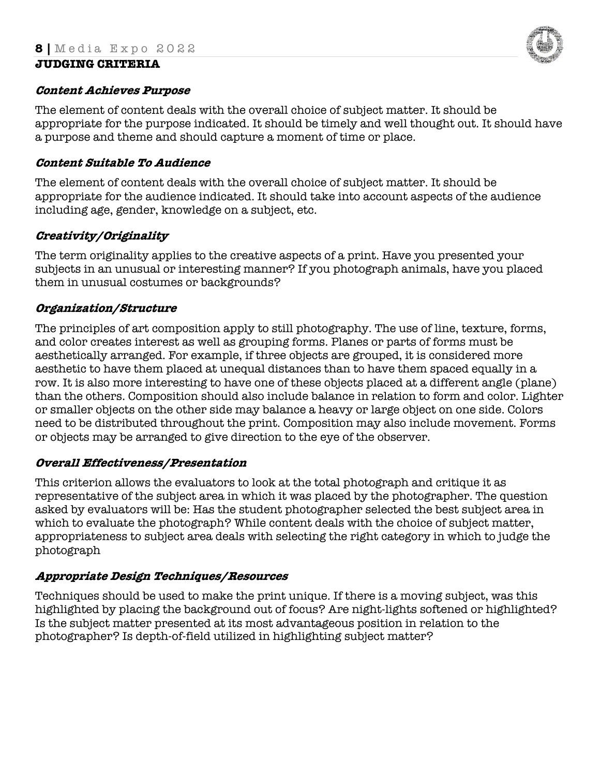#### **Content Achieves Purpose**

The element of content deals with the overall choice of subject matter. It should be appropriate for the purpose indicated. It should be timely and well thought out. It should have a purpose and theme and should capture a moment of time or place.

# **Content Suitable To Audience**

The element of content deals with the overall choice of subject matter. It should be appropriate for the audience indicated. It should take into account aspects of the audience including age, gender, knowledge on a subject, etc.

# **Creativity/Originality**

The term originality applies to the creative aspects of a print. Have you presented your subjects in an unusual or interesting manner? If you photograph animals, have you placed them in unusual costumes or backgrounds?

#### **Organization/Structure**

The principles of art composition apply to still photography. The use of line, texture, forms, and color creates interest as well as grouping forms. Planes or parts of forms must be aesthetically arranged. For example, if three objects are grouped, it is considered more aesthetic to have them placed at unequal distances than to have them spaced equally in a row. It is also more interesting to have one of these objects placed at a different angle (plane) than the others. Composition should also include balance in relation to form and color. Lighter or smaller objects on the other side may balance a heavy or large object on one side. Colors need to be distributed throughout the print. Composition may also include movement. Forms or objects may be arranged to give direction to the eye of the observer.

# **Overall Effectiveness/Presentation**

This criterion allows the evaluators to look at the total photograph and critique it as representative of the subject area in which it was placed by the photographer. The question asked by evaluators will be: Has the student photographer selected the best subject area in which to evaluate the photograph? While content deals with the choice of subject matter, appropriateness to subject area deals with selecting the right category in which to judge the photograph

# **Appropriate Design Techniques/Resources**

Techniques should be used to make the print unique. If there is a moving subject, was this highlighted by placing the background out of focus? Are night-lights softened or highlighted? Is the subject matter presented at its most advantageous position in relation to the photographer? Is depth-of-field utilized in highlighting subject matter?

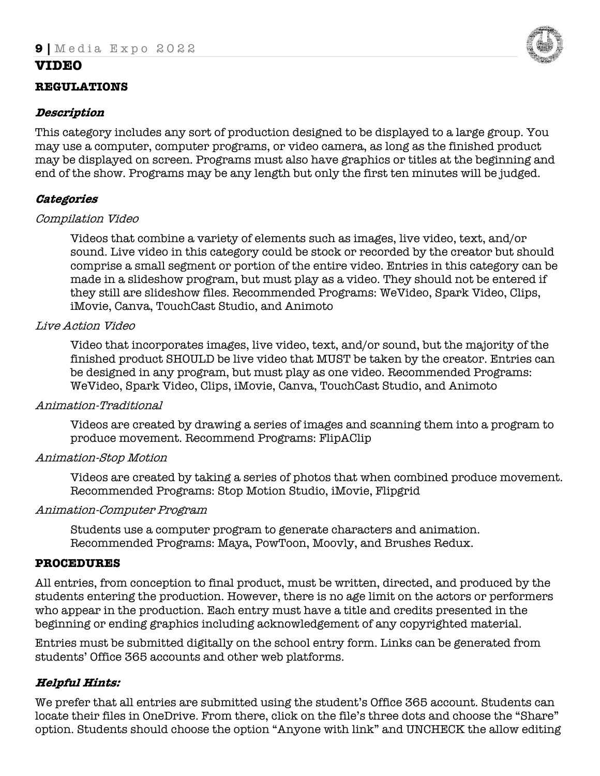# **VIDEO**

#### **REGULATIONS**

#### **Description**

This category includes any sort of production designed to be displayed to a large group. You may use a computer, computer programs, or video camera, as long as the finished product may be displayed on screen. Programs must also have graphics or titles at the beginning and end of the show. Programs may be any length but only the first ten minutes will be judged.

# **Categories**

#### Compilation Video

Videos that combine a variety of elements such as images, live video, text, and/or sound. Live video in this category could be stock or recorded by the creator but should comprise a small segment or portion of the entire video. Entries in this category can be made in a slideshow program, but must play as a video. They should not be entered if they still are slideshow files. Recommended Programs: WeVideo, Spark Video, Clips, iMovie, Canva, TouchCast Studio, and Animoto

#### Live Action Video

Video that incorporates images, live video, text, and/or sound, but the majority of the finished product SHOULD be live video that MUST be taken by the creator. Entries can be designed in any program, but must play as one video. Recommended Programs: WeVideo, Spark Video, Clips, iMovie, Canva, TouchCast Studio, and Animoto

#### Animation-Traditional

Videos are created by drawing a series of images and scanning them into a program to produce movement. Recommend Programs: FlipAClip

#### Animation-Stop Motion

Videos are created by taking a series of photos that when combined produce movement. Recommended Programs: Stop Motion Studio, iMovie, Flipgrid

#### Animation-Computer Program

Students use a computer program to generate characters and animation. Recommended Programs: Maya, PowToon, Moovly, and Brushes Redux.

#### **PROCEDURES**

All entries, from conception to final product, must be written, directed, and produced by the students entering the production. However, there is no age limit on the actors or performers who appear in the production. Each entry must have a title and credits presented in the beginning or ending graphics including acknowledgement of any copyrighted material.

Entries must be submitted digitally on the school entry form. Links can be generated from students' Office 365 accounts and other web platforms.

# **Helpful Hints:**

We prefer that all entries are submitted using the student's Office 365 account. Students can locate their files in OneDrive. From there, click on the file's three dots and choose the "Share" option. Students should choose the option "Anyone with link" and UNCHECK the allow editing

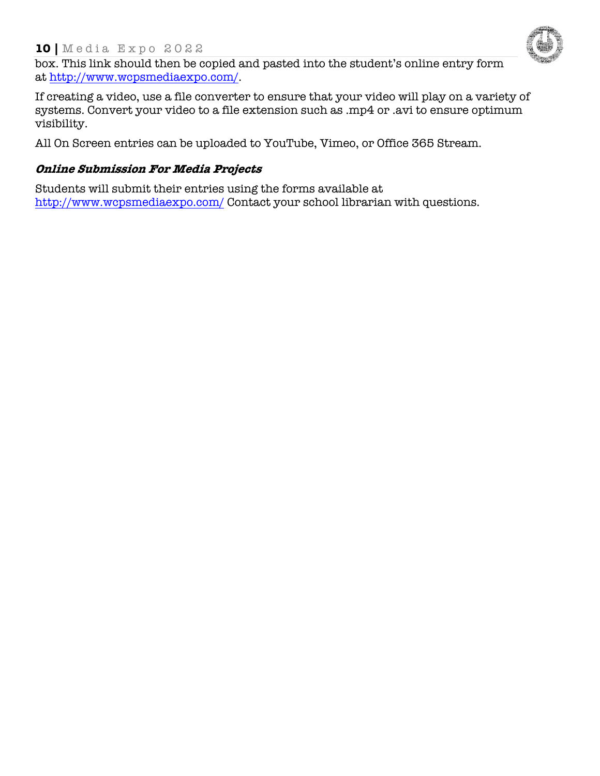# **10 |** Media Expo 202 2



box. This link should then be copied and pasted into the student's online entry form at http://www.wcpsmediaexpo.com/.

If creating a video, use a file converter to ensure that your video will play on a variety of systems. Convert your video to a file extension such as .mp4 or .avi to ensure optimum visibility.

All On Screen entries can be uploaded to YouTube, Vimeo, or Office 365 Stream.

# **Online Submission For Media Projects**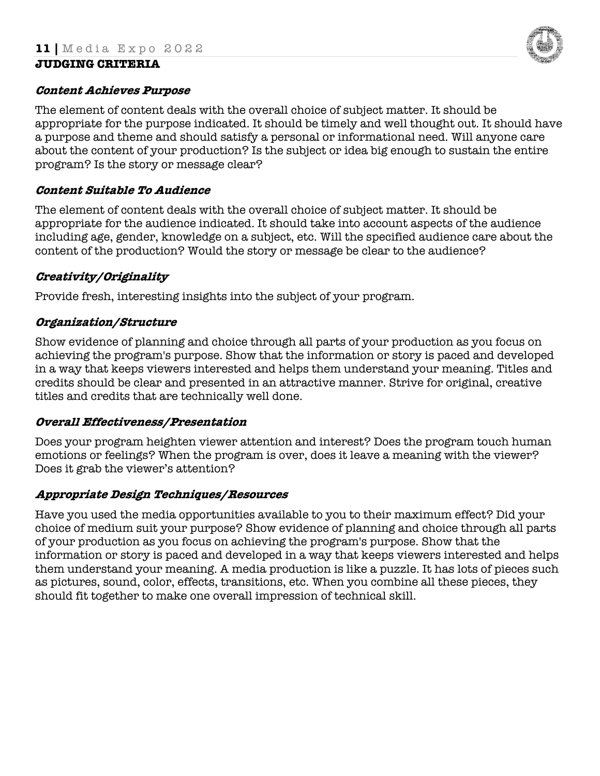#### **Content Achieves Purpose**

The element of content deals with the overall choice of subject matter. It should be appropriate for the purpose indicated. It should be timely and well thought out. It should have a purpose and theme and should satisfy a personal or informational need. Will anyone care about the content of your production? Is the subject or idea big enough to sustain the entire program? Is the story or message clear?

#### **Content Suitable To Audience**

The element of content deals with the overall choice of subject matter. It should be appropriate for the audience indicated. It should take into account aspects of the audience including age, gender, knowledge on a subject, etc. Will the specified audience care about the content of the production? Would the story or message be clear to the audience?

# **Creativity/Originality**

Provide fresh, interesting insights into the subject of your program.

#### **Organization/Structure**

Show evidence of planning and choice through all parts of your production as you focus on achieving the program's purpose. Show that the information or story is paced and developed in a way that keeps viewers interested and helps them understand your meaning. Titles and credits should be clear and presented in an attractive manner. Strive for original, creative titles and credits that are technically well done.

#### **Overall Effectiveness/Presentation**

Does your program heighten viewer attention and interest? Does the program touch human emotions or feelings? When the program is over, does it leave a meaning with the viewer? Does it grab the viewer's attention?

#### **Appropriate Design Techniques/Resources**

Have you used the media opportunities available to you to their maximum effect? Did your choice of medium suit your purpose? Show evidence of planning and choice through all parts of your production as you focus on achieving the program's purpose. Show that the information or story is paced and developed in a way that keeps viewers interested and helps them understand your meaning. A media production is like a puzzle. It has lots of pieces such as pictures, sound, color, effects, transitions, etc. When you combine all these pieces, they should fit together to make one overall impression of technical skill.

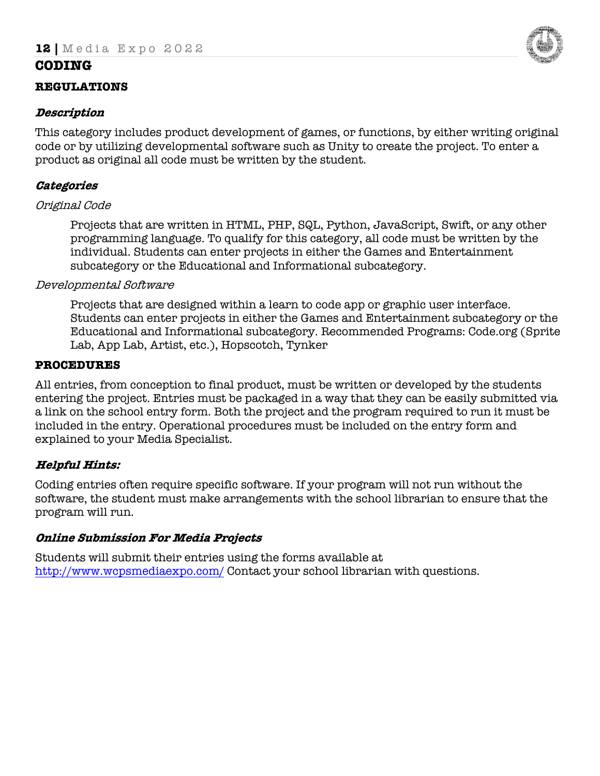# **CODING**

#### **REGULATIONS**

#### **Description**

This category includes product development of games, or functions, by either writing original code or by utilizing developmental software such as Unity to create the project. To enter a product as original all code must be written by the student.

# **Categories**

#### Original Code

Projects that are written in HTML, PHP, SQL, Python, JavaScript, Swift, or any other programming language. To qualify for this category, all code must be written by the individual. Students can enter projects in either the Games and Entertainment subcategory or the Educational and Informational subcategory.

#### Developmental Software

Projects that are designed within a learn to code app or graphic user interface. Students can enter projects in either the Games and Entertainment subcategory or the Educational and Informational subcategory. Recommended Programs: Code.org (Sprite Lab, App Lab, Artist, etc.), Hopscotch, Tynker

#### **PROCEDURES**

All entries, from conception to final product, must be written or developed by the students entering the project. Entries must be packaged in a way that they can be easily submitted via a link on the school entry form. Both the project and the program required to run it must be included in the entry. Operational procedures must be included on the entry form and explained to your Media Specialist.

# **Helpful Hints:**

Coding entries often require specific software. If your program will not run without the software, the student must make arrangements with the school librarian to ensure that the program will run.

#### **Online Submission For Media Projects**

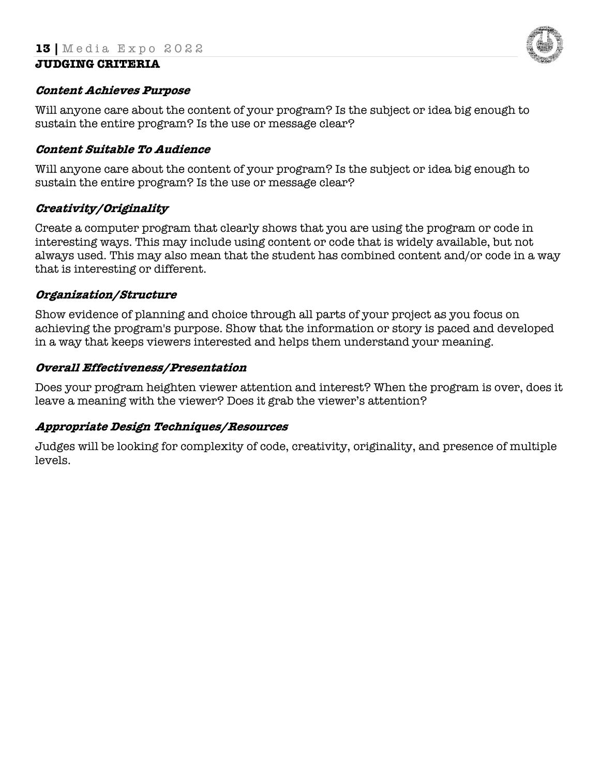

#### **Content Achieves Purpose**

Will anyone care about the content of your program? Is the subject or idea big enough to sustain the entire program? Is the use or message clear?

#### **Content Suitable To Audience**

Will anyone care about the content of your program? Is the subject or idea big enough to sustain the entire program? Is the use or message clear?

#### **Creativity/Originality**

Create a computer program that clearly shows that you are using the program or code in interesting ways. This may include using content or code that is widely available, but not always used. This may also mean that the student has combined content and/or code in a way that is interesting or different.

#### **Organization/Structure**

Show evidence of planning and choice through all parts of your project as you focus on achieving the program's purpose. Show that the information or story is paced and developed in a way that keeps viewers interested and helps them understand your meaning.

#### **Overall Effectiveness/Presentation**

Does your program heighten viewer attention and interest? When the program is over, does it leave a meaning with the viewer? Does it grab the viewer's attention?

#### **Appropriate Design Techniques/Resources**

Judges will be looking for complexity of code, creativity, originality, and presence of multiple levels.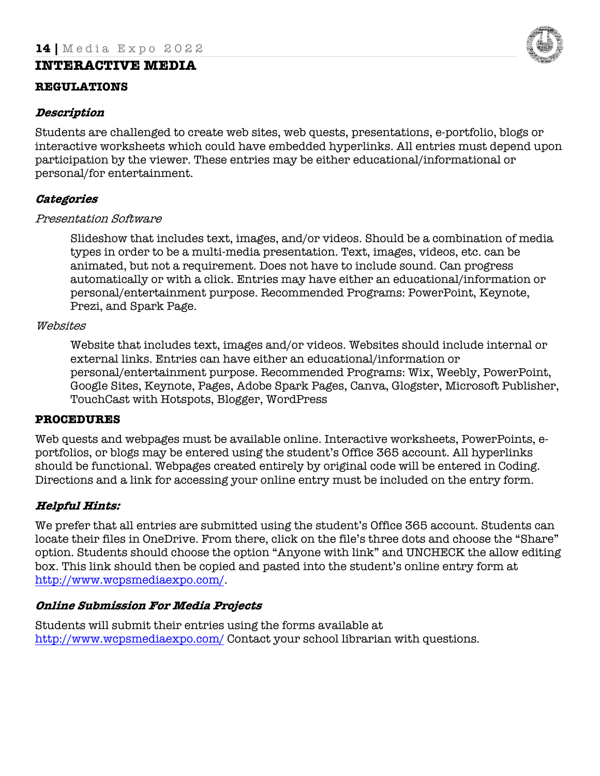# **INTERACTIVE MEDIA**

#### **REGULATIONS**

#### **Description**

Students are challenged to create web sites, web quests, presentations, e-portfolio, blogs or interactive worksheets which could have embedded hyperlinks. All entries must depend upon participation by the viewer. These entries may be either educational/informational or personal/for entertainment.

# **Categories**

#### Presentation Software

Slideshow that includes text, images, and/or videos. Should be a combination of media types in order to be a multi-media presentation. Text, images, videos, etc. can be animated, but not a requirement. Does not have to include sound. Can progress automatically or with a click. Entries may have either an educational/information or personal/entertainment purpose. Recommended Programs: PowerPoint, Keynote, Prezi, and Spark Page.

#### Websites

Website that includes text, images and/or videos. Websites should include internal or external links. Entries can have either an educational/information or personal/entertainment purpose. Recommended Programs: Wix, Weebly, PowerPoint, Google Sites, Keynote, Pages, Adobe Spark Pages, Canva, Glogster, Microsoft Publisher, TouchCast with Hotspots, Blogger, WordPress

#### **PROCEDURES**

Web quests and webpages must be available online. Interactive worksheets, PowerPoints, eportfolios, or blogs may be entered using the student's Office 365 account. All hyperlinks should be functional. Webpages created entirely by original code will be entered in Coding. Directions and a link for accessing your online entry must be included on the entry form.

# **Helpful Hints:**

We prefer that all entries are submitted using the student's Office 365 account. Students can locate their files in OneDrive. From there, click on the file's three dots and choose the "Share" option. Students should choose the option "Anyone with link" and UNCHECK the allow editing box. This link should then be copied and pasted into the student's online entry form at http://www.wcpsmediaexpo.com/.

# **Online Submission For Media Projects**

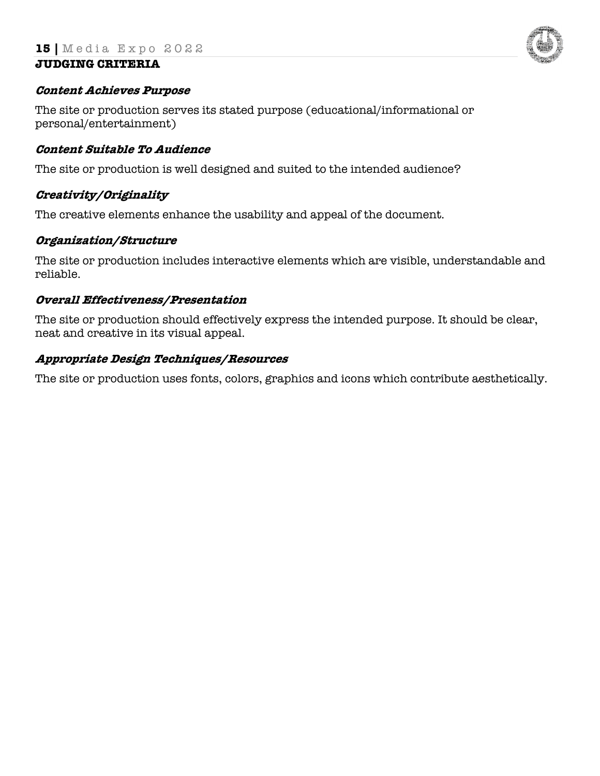

#### **Content Achieves Purpose**

The site or production serves its stated purpose (educational/informational or personal/entertainment)

#### **Content Suitable To Audience**

The site or production is well designed and suited to the intended audience?

# **Creativity/Originality**

The creative elements enhance the usability and appeal of the document.

#### **Organization/Structure**

The site or production includes interactive elements which are visible, understandable and reliable.

#### **Overall Effectiveness/Presentation**

The site or production should effectively express the intended purpose. It should be clear, neat and creative in its visual appeal.

#### **Appropriate Design Techniques/Resources**

The site or production uses fonts, colors, graphics and icons which contribute aesthetically.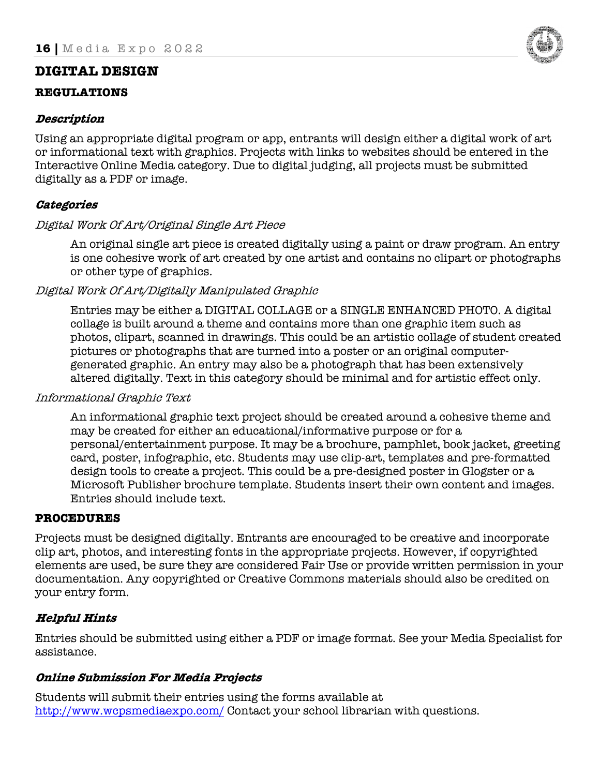# **DIGITAL DESIGN**

#### **REGULATIONS**

# **Description**

Using an appropriate digital program or app, entrants will design either a digital work of art or informational text with graphics. Projects with links to websites should be entered in the Interactive Online Media category. Due to digital judging, all projects must be submitted digitally as a PDF or image.

# **Categories**

# Digital Work Of Art/Original Single Art Piece

An original single art piece is created digitally using a paint or draw program. An entry is one cohesive work of art created by one artist and contains no clipart or photographs or other type of graphics.

# Digital Work Of Art/Digitally Manipulated Graphic

Entries may be either a DIGITAL COLLAGE or a SINGLE ENHANCED PHOTO. A digital collage is built around a theme and contains more than one graphic item such as photos, clipart, scanned in drawings. This could be an artistic collage of student created pictures or photographs that are turned into a poster or an original computergenerated graphic. An entry may also be a photograph that has been extensively altered digitally. Text in this category should be minimal and for artistic effect only.

#### Informational Graphic Text

An informational graphic text project should be created around a cohesive theme and may be created for either an educational/informative purpose or for a personal/entertainment purpose. It may be a brochure, pamphlet, book jacket, greeting card, poster, infographic, etc. Students may use clip-art, templates and pre-formatted design tools to create a project. This could be a pre-designed poster in Glogster or a Microsoft Publisher brochure template. Students insert their own content and images. Entries should include text.

# **PROCEDURES**

Projects must be designed digitally. Entrants are encouraged to be creative and incorporate clip art, photos, and interesting fonts in the appropriate projects. However, if copyrighted elements are used, be sure they are considered Fair Use or provide written permission in your documentation. Any copyrighted or Creative Commons materials should also be credited on your entry form.

# **Helpful Hints**

Entries should be submitted using either a PDF or image format. See your Media Specialist for assistance.

# **Online Submission For Media Projects**

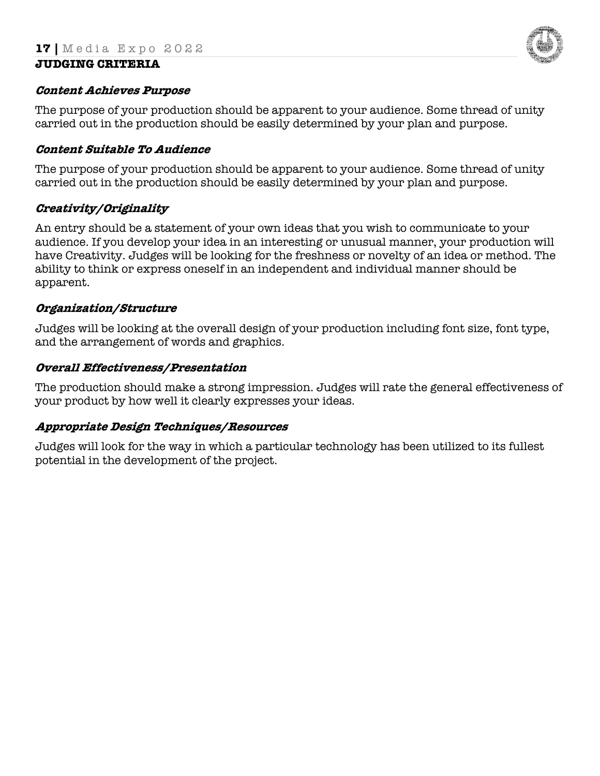

#### **Content Achieves Purpose**

The purpose of your production should be apparent to your audience. Some thread of unity carried out in the production should be easily determined by your plan and purpose.

#### **Content Suitable To Audience**

The purpose of your production should be apparent to your audience. Some thread of unity carried out in the production should be easily determined by your plan and purpose.

# **Creativity/Originality**

An entry should be a statement of your own ideas that you wish to communicate to your audience. If you develop your idea in an interesting or unusual manner, your production will have Creativity. Judges will be looking for the freshness or novelty of an idea or method. The ability to think or express oneself in an independent and individual manner should be apparent.

#### **Organization/Structure**

Judges will be looking at the overall design of your production including font size, font type, and the arrangement of words and graphics.

#### **Overall Effectiveness/Presentation**

The production should make a strong impression. Judges will rate the general effectiveness of your product by how well it clearly expresses your ideas.

# **Appropriate Design Techniques/Resources**

Judges will look for the way in which a particular technology has been utilized to its fullest potential in the development of the project.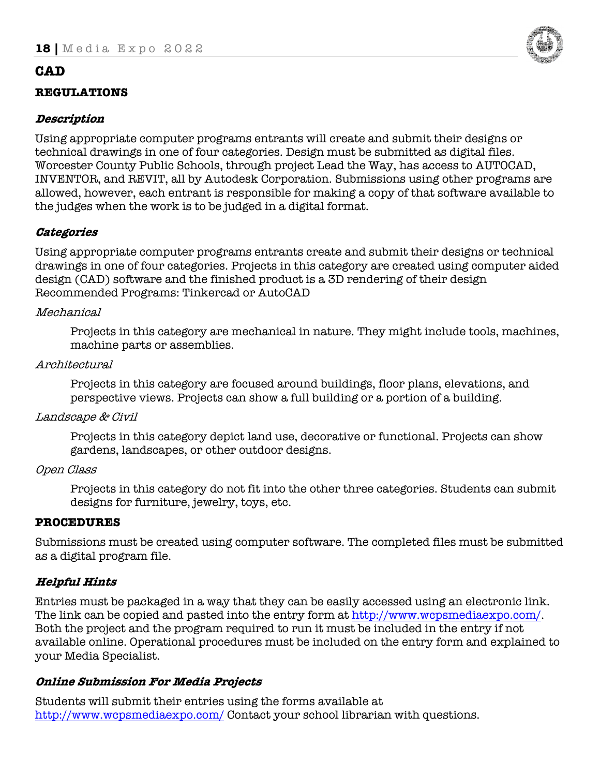# **CAD**

# **REGULATIONS**

# **Description**

Using appropriate computer programs entrants will create and submit their designs or technical drawings in one of four categories. Design must be submitted as digital files. Worcester County Public Schools, through project Lead the Way, has access to AUTOCAD, INVENTOR, and REVIT, all by Autodesk Corporation. Submissions using other programs are allowed, however, each entrant is responsible for making a copy of that software available to the judges when the work is to be judged in a digital format.

# **Categories**

Using appropriate computer programs entrants create and submit their designs or technical drawings in one of four categories. Projects in this category are created using computer aided design (CAD) software and the finished product is a 3D rendering of their design Recommended Programs: Tinkercad or AutoCAD

#### Mechanical

Projects in this category are mechanical in nature. They might include tools, machines, machine parts or assemblies.

#### Architectural

Projects in this category are focused around buildings, floor plans, elevations, and perspective views. Projects can show a full building or a portion of a building.

#### Landscape & Civil

Projects in this category depict land use, decorative or functional. Projects can show gardens, landscapes, or other outdoor designs.

#### Open Class

Projects in this category do not fit into the other three categories. Students can submit designs for furniture, jewelry, toys, etc.

#### **PROCEDURES**

Submissions must be created using computer software. The completed files must be submitted as a digital program file.

# **Helpful Hints**

Entries must be packaged in a way that they can be easily accessed using an electronic link. The link can be copied and pasted into the entry form at http://www.wcpsmediaexpo.com/. Both the project and the program required to run it must be included in the entry if not available online. Operational procedures must be included on the entry form and explained to your Media Specialist.

# **Online Submission For Media Projects**

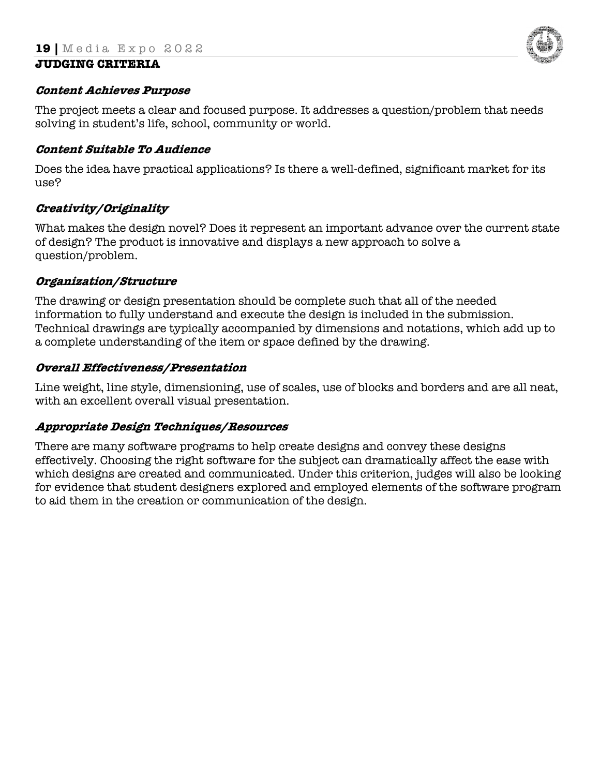

#### **Content Achieves Purpose**

The project meets a clear and focused purpose. It addresses a question/problem that needs solving in student's life, school, community or world.

#### **Content Suitable To Audience**

Does the idea have practical applications? Is there a well-defined, significant market for its use?

# **Creativity/Originality**

What makes the design novel? Does it represent an important advance over the current state of design? The product is innovative and displays a new approach to solve a question/problem.

# **Organization/Structure**

The drawing or design presentation should be complete such that all of the needed information to fully understand and execute the design is included in the submission. Technical drawings are typically accompanied by dimensions and notations, which add up to a complete understanding of the item or space defined by the drawing.

#### **Overall Effectiveness/Presentation**

Line weight, line style, dimensioning, use of scales, use of blocks and borders and are all neat, with an excellent overall visual presentation.

# **Appropriate Design Techniques/Resources**

There are many software programs to help create designs and convey these designs effectively. Choosing the right software for the subject can dramatically affect the ease with which designs are created and communicated. Under this criterion, judges will also be looking for evidence that student designers explored and employed elements of the software program to aid them in the creation or communication of the design.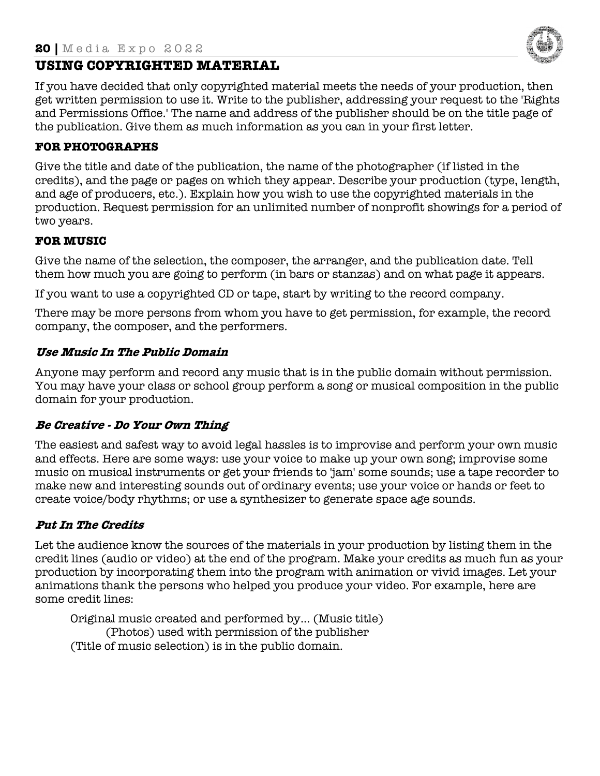

# **USING COPYRIGHTED MATERIAL**

If you have decided that only copyrighted material meets the needs of your production, then get written permission to use it. Write to the publisher, addressing your request to the 'Rights and Permissions Office.' The name and address of the publisher should be on the title page of the publication. Give them as much information as you can in your first letter.

# **FOR PHOTOGRAPHS**

Give the title and date of the publication, the name of the photographer (if listed in the credits), and the page or pages on which they appear. Describe your production (type, length, and age of producers, etc.). Explain how you wish to use the copyrighted materials in the production. Request permission for an unlimited number of nonprofit showings for a period of two years.

#### **FOR MUSIC**

Give the name of the selection, the composer, the arranger, and the publication date. Tell them how much you are going to perform (in bars or stanzas) and on what page it appears.

If you want to use a copyrighted CD or tape, start by writing to the record company.

There may be more persons from whom you have to get permission, for example, the record company, the composer, and the performers.

#### **Use Music In The Public Domain**

Anyone may perform and record any music that is in the public domain without permission. You may have your class or school group perform a song or musical composition in the public domain for your production.

# **Be Creative - Do Your Own Thing**

The easiest and safest way to avoid legal hassles is to improvise and perform your own music and effects. Here are some ways: use your voice to make up your own song; improvise some music on musical instruments or get your friends to 'jam' some sounds; use a tape recorder to make new and interesting sounds out of ordinary events; use your voice or hands or feet to create voice/body rhythms; or use a synthesizer to generate space age sounds.

# **Put In The Credits**

Let the audience know the sources of the materials in your production by listing them in the credit lines (audio or video) at the end of the program. Make your credits as much fun as your production by incorporating them into the program with animation or vivid images. Let your animations thank the persons who helped you produce your video. For example, here are some credit lines:

Original music created and performed by... (Music title) (Photos) used with permission of the publisher (Title of music selection) is in the public domain.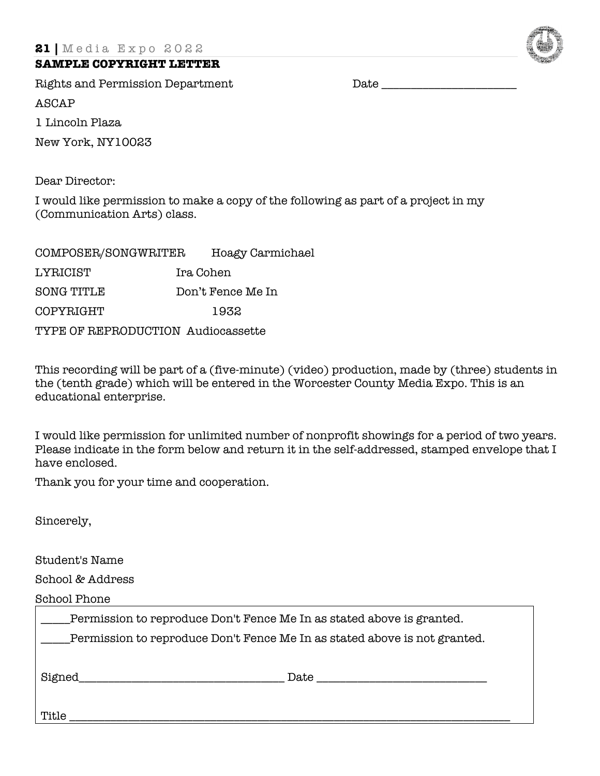#### **SAMPLE COPYRIGHT LETTER**

Rights and Permission Department Date \_\_\_\_\_\_\_\_\_\_\_\_\_\_\_\_\_\_\_\_\_\_\_ ASCAP 1 Lincoln Plaza

New York, NY10023

Dear Director:

I would like permission to make a copy of the following as part of a project in my (Communication Arts) class.

| COMPOSER/SONGWRITER                |                   | Hoagy Carmichael |  |  |  |
|------------------------------------|-------------------|------------------|--|--|--|
| LYRICIST                           | Ira Cohen         |                  |  |  |  |
| <b>SONG TITLE</b>                  | Don't Fence Me In |                  |  |  |  |
| COPYRIGHT                          | 1932              |                  |  |  |  |
| TYPE OF REPRODUCTION Audiocassette |                   |                  |  |  |  |

This recording will be part of a (five-minute) (video) production, made by (three) students in the (tenth grade) which will be entered in the Worcester County Media Expo. This is an educational enterprise.

I would like permission for unlimited number of nonprofit showings for a period of two years. Please indicate in the form below and return it in the self-addressed, stamped envelope that I have enclosed.

Thank you for your time and cooperation.

Sincerely,

Student's Name

School & Address

School Phone

| Permission to reproduce Don't Fence Me In as stated above is granted.     |      |  |  |  |  |
|---------------------------------------------------------------------------|------|--|--|--|--|
| Permission to reproduce Don't Fence Me In as stated above is not granted. |      |  |  |  |  |
|                                                                           |      |  |  |  |  |
| Signed                                                                    | Date |  |  |  |  |
|                                                                           |      |  |  |  |  |

Title \_\_\_\_\_\_\_\_\_\_\_\_\_\_\_\_\_\_\_\_\_\_\_\_\_\_\_\_\_\_\_\_\_\_\_\_\_\_\_\_\_\_\_\_\_\_\_\_\_\_\_\_\_\_\_\_\_\_\_\_\_\_\_\_\_\_\_\_\_\_\_\_\_\_\_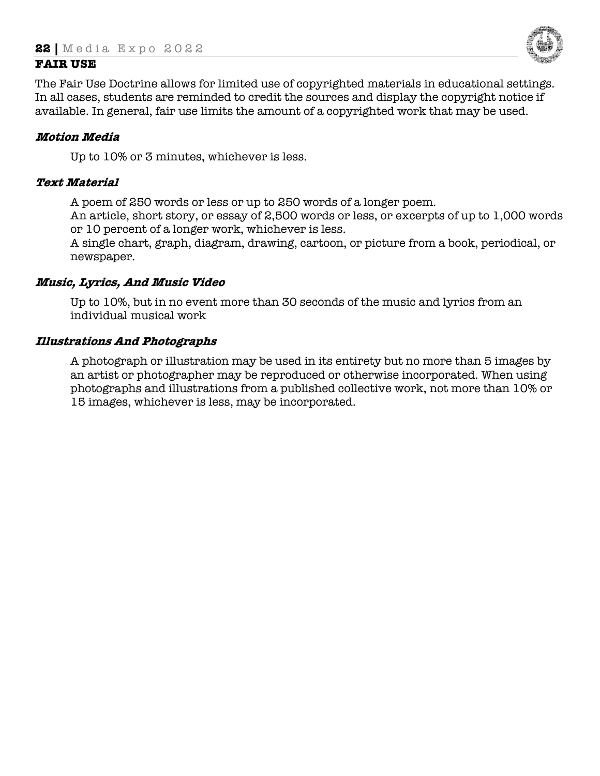

# **FAIR USE**

The Fair Use Doctrine allows for limited use of copyrighted materials in educational settings. In all cases, students are reminded to credit the sources and display the copyright notice if available. In general, fair use limits the amount of a copyrighted work that may be used.

#### **Motion Media**

Up to 10% or 3 minutes, whichever is less.

#### **Text Material**

A poem of 250 words or less or up to 250 words of a longer poem.

An article, short story, or essay of 2,500 words or less, or excerpts of up to 1,000 words or 10 percent of a longer work, whichever is less.

A single chart, graph, diagram, drawing, cartoon, or picture from a book, periodical, or newspaper.

#### **Music, Lyrics, And Music Video**

Up to 10%, but in no event more than 30 seconds of the music and lyrics from an individual musical work

#### **Illustrations And Photographs**

A photograph or illustration may be used in its entirety but no more than 5 images by an artist or photographer may be reproduced or otherwise incorporated. When using photographs and illustrations from a published collective work, not more than 10% or 15 images, whichever is less, may be incorporated.